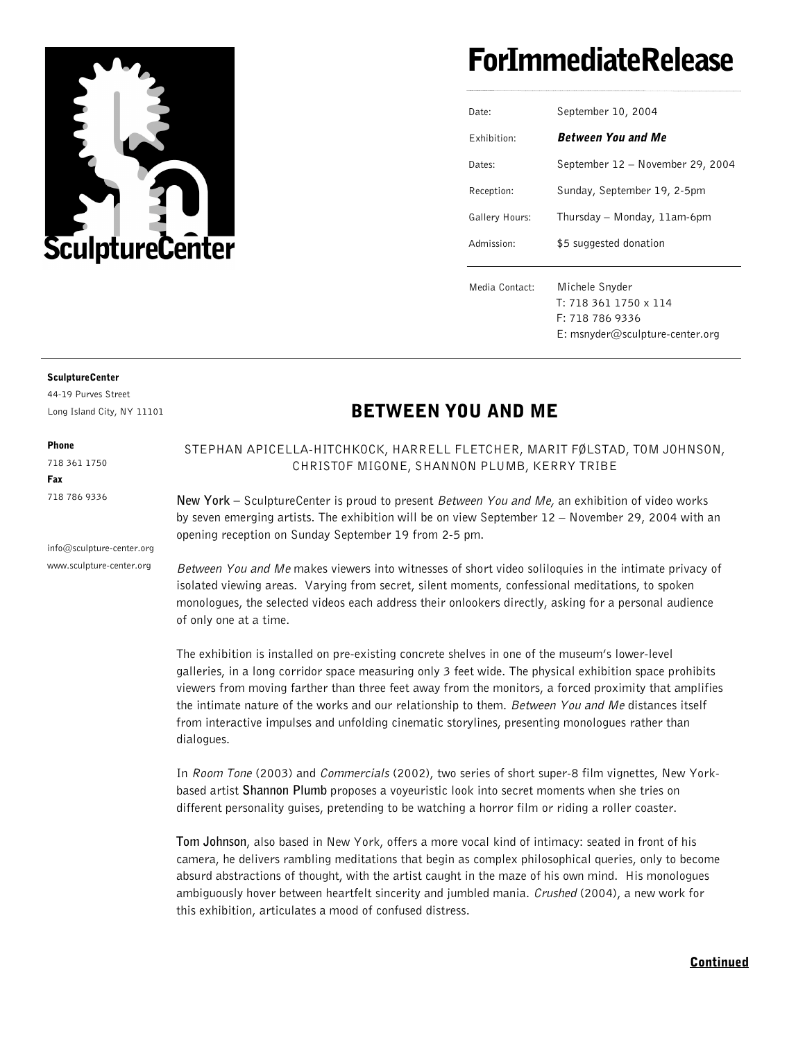

# ForImmediateRelease

| Date:          | September 10, 2004               |
|----------------|----------------------------------|
| Fxhibition:    | <b>Between You and Me</b>        |
| Dates:         | September 12 - November 29, 2004 |
| Reception:     | Sunday, September 19, 2-5pm      |
| Gallery Hours: | Thursday - Monday, 11am-6pm      |
| Admission:     | \$5 suggested donation           |
|                |                                  |
| Media Contact: | Michele Snyder                   |
|                | T: 718 361 1750 x 114            |
|                | F: 718 786 9336                  |
|                | E: msnyder@sculpture-center.org  |
|                |                                  |

#### SculptureCenter

44-19 Purves Street Long Island City, NY 11101

Phone 718 361 1750

Fax 718 786 9336

info@sculpture-center.org www.sculpture-center.org

### BETWEEN YOU AND ME

STEPHAN APICELLA-HITCHKOCK, HARRELL FLETCHER, MARIT FØLSTAD, TOM JOHNSON, CHRISTOF MIGONE, SHANNON PLUMB, KERRY TRIBE

**New York –** SculptureCenter is proud to present Between You and Me, an exhibition of video works by seven emerging artists. The exhibition will be on view September 12 – November 29, 2004 with an opening reception on Sunday September 19 from 2-5 pm.

Between You and Me makes viewers into witnesses of short video soliloquies in the intimate privacy of isolated viewing areas. Varying from secret, silent moments, confessional meditations, to spoken monologues, the selected videos each address their onlookers directly, asking for a personal audience of only one at a time.

The exhibition is installed on pre-existing concrete shelves in one of the museum's lower-level galleries, in a long corridor space measuring only 3 feet wide. The physical exhibition space prohibits viewers from moving farther than three feet away from the monitors, a forced proximity that amplifies the intimate nature of the works and our relationship to them. Between You and Me distances itself from interactive impulses and unfolding cinematic storylines, presenting monologues rather than dialogues.

In Room Tone (2003) and Commercials (2002), two series of short super-8 film vignettes, New Yorkbased artist **Shannon Plumb** proposes a voyeuristic look into secret moments when she tries on different personality guises, pretending to be watching a horror film or riding a roller coaster.

**Tom Johnson**, also based in New York, offers a more vocal kind of intimacy: seated in front of his camera, he delivers rambling meditations that begin as complex philosophical queries, only to become absurd abstractions of thought, with the artist caught in the maze of his own mind. His monologues ambiguously hover between heartfelt sincerity and jumbled mania. Crushed (2004), a new work for this exhibition, articulates a mood of confused distress.

#### Continued